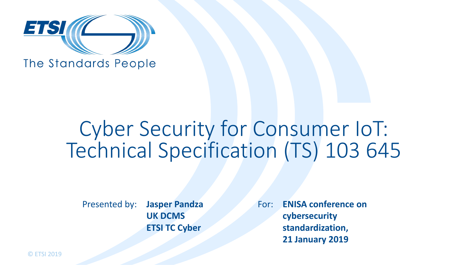

The Standards People

## Cyber Security for Consumer IoT: Technical Specification (TS) 103 645

Presented by: Jasper Pandza For: **UK DCMS ETSI TC Cyber**

**ENISA conference on cybersecurity standardization, 21 January 2019**

© ETSI 2019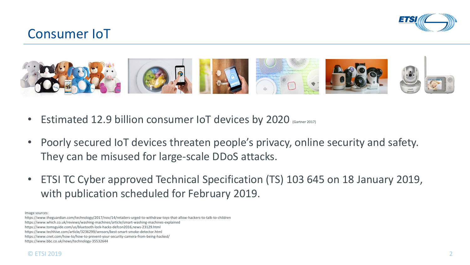

## Consumer IoT



- Estimated 12.9 billion consumer IoT devices by 2020 (Gartner 2017)
- Poorly secured IoT devices threaten people's privacy, online security and safety. They can be misused for large-scale DDoS attacks.
- ETSI TC Cyber approved Technical Specification (TS) 103 645 on 18 January 2019, with publication scheduled for February 2019.

Image sources:

https://www.theguardian.com/technology/2017/nov/14/retailers-urged-to-withdraw-toys-that-allow-hackers-to-talk-to-children

https://www.which.co.uk/reviews/washing-machines/article/smart-washing-machines-explained

https://www.tomsguide.com/us/bluetooth-lock-hacks-defcon2016,news-23129.html

https://www.techhive.com/article/3236299/sensors/best-smart-smoke-detector.html

https://www.cnet.com/how-to/how-to-prevent-your-security-camera-from-being-hacked/

https://www.bbc.co.uk/news/technology-35532644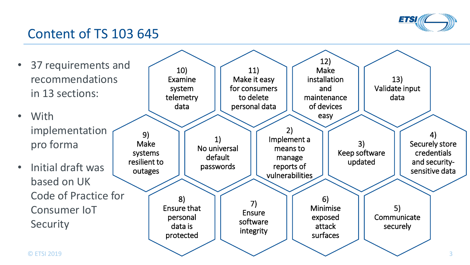

## Content of TS 103 645

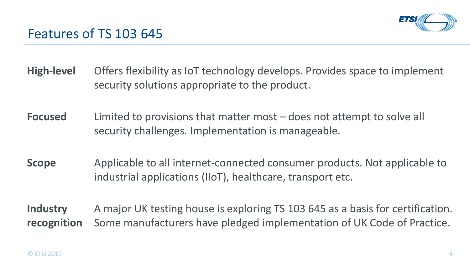

- **High-level** Offers flexibility as IoT technology develops. Provides space to implement security solutions appropriate to the product.
- **Focused** Limited to provisions that matter most does not attempt to solve all security challenges. Implementation is manageable.
- **Scope** Applicable to all internet-connected consumer products. Not applicable to industrial applications (IIoT), healthcare, transport etc.
- **Industry recognition**  A major UK testing house is exploring TS 103 645 as a basis for certification. Some manufacturers have pledged implementation of UK Code of Practice.